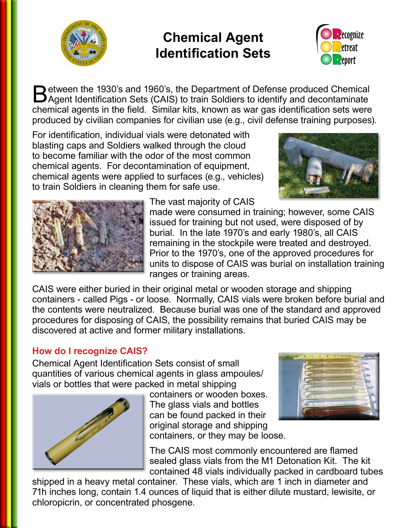

# **Chemical Agent Identification Sets**



Between the 1930's and 1960's, the Department of Defense produced Chemical<br>Agent Identification Sets (CAIS) to train Soldiers to identify and decontaminate chemical agents in the field. Similar kits, known as war gas identification sets were produced by civilian companies for civilian use (e.g., civil defense training purposes).

For identification, individual vials were detonated with blasting caps and Soldiers walked through the cloud to become familiar with the odor of the most common chemical agents. For decontamination of equipment, chemical agents were applied to surfaces (e.g., vehicles) to train Soldiers in cleaning them for safe use.





The vast majority of CAIS

made were consumed in training; however, some CAIS issued for training but not used, were disposed of by burial. In the late 1970's and early 1980's, all CAIS remaining in the stockpile were treated and destroyed. Prior to the 1970's, one of the approved procedures for units to dispose of CAIS was burial on installation training ranges or training areas.

CAIS were either buried in their original metal or wooden storage and shipping containers - called Pigs - or loose. Normally, CAIS vials were broken before burial and the contents were neutralized. Because burial was one of the standard and approved procedures for disposing of CAIS, the possibility remains that buried CAIS may be discovered at active and former military installations.

## **How do I recognize CAIS?**

Chemical Agent Identification Sets consist of small quantities of various chemical agents in glass ampoules/ vials or bottles that were packed in metal shipping



containers or wooden boxes. The glass vials and bottles can be found packed in their original storage and shipping containers, or they may be loose.



The CAIS most commonly encountered are flamed

sealed glass vials from the M1 Detonation Kit. The kit contained 48 vials individually packed in cardboard tubes

shipped in a heavy metal container. These vials, which are 1 inch in diameter and 71h inches long, contain 1.4 ounces of liquid that is either dilute mustard, lewisite, or chloropicrin, or concentrated phosgene.